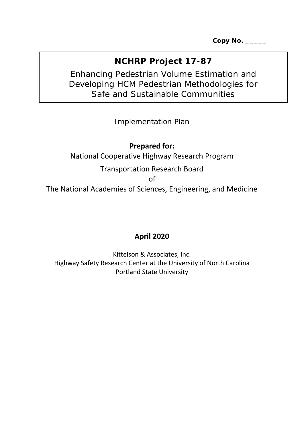**Copy No. \_\_\_\_\_**

# **NCHRP Project 17-87**

# Enhancing Pedestrian Volume Estimation and Developing HCM Pedestrian Methodologies for Safe and Sustainable Communities

*Implementation Plan*

## **Prepared for:**

National Cooperative Highway Research Program

# Transportation Research Board

of

The National Academies of Sciences, Engineering, and Medicine

# **April 2020**

Kittelson & Associates, Inc. Highway Safety Research Center at the University of North Carolina Portland State University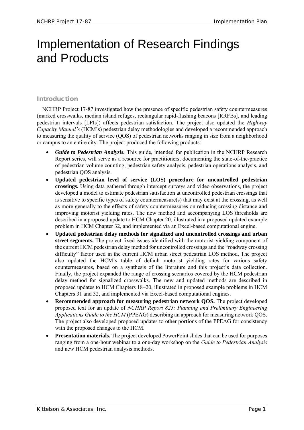# Implementation of Research Findings and Products

## Introduction

NCHRP Project 17-87 investigated how the presence of specific pedestrian safety countermeasures (marked crosswalks, median island refuges, rectangular rapid-flashing beacons [RRFBs], and leading pedestrian intervals [LPIs]) affects pedestrian satisfaction. The project also updated the *Highway Capacity Manual's* (HCM's) pedestrian delay methodologies and developed a recommended approach to measuring the quality of service (QOS) of pedestrian networks ranging in size from a neighborhood or campus to an entire city. The project produced the following products:

- *Guide to Pedestrian Analysis.* This guide, intended for publication in the NCHRP Research Report series, will serve as a resource for practitioners, documenting the state-of-the-practice of pedestrian volume counting, pedestrian safety analysis, pedestrian operations analysis, and pedestrian QOS analysis.
- **Updated pedestrian level of service (LOS) procedure for uncontrolled pedestrian crossings.** Using data gathered through intercept surveys and video observations, the project developed a model to estimate pedestrian satisfaction at uncontrolled pedestrian crossings that is sensitive to specific types of safety countermeasure(s) that may exist at the crossing, as well as more generally to the effects of safety countermeasures on reducing crossing distance and improving motorist yielding rates. The new method and accompanying LOS thresholds are described in a proposed update to HCM Chapter 20, illustrated in a proposed updated example problem in HCM Chapter 32, and implemented via an Excel-based computational engine.
- **Updated pedestrian delay methods for signalized and uncontrolled crossings and urban street segments.** The project fixed issues identified with the motorist-yielding component of the current HCM pedestrian delay method for uncontrolled crossings and the "roadway crossing difficulty" factor used in the current HCM urban street pedestrian LOS method. The project also updated the HCM's table of default motorist yielding rates for various safety countermeasures, based on a synthesis of the literature and this project's data collection. Finally, the project expanded the range of crossing scenarios covered by the HCM pedestrian delay method for signalized crosswalks. The new and updated methods are described in proposed updates to HCM Chapters 18–20, illustrated in proposed example problems in HCM Chapters 31 and 32, and implemented via Excel-based computational engines.
- **Recommended approach for measuring pedestrian network QOS.** The project developed proposed text for an update of *NCHRP Report 825: Planning and Preliminary Engineering Applications Guide to the HCM* (PPEAG) describing an approach for measuring network QOS. The project also developed proposed updates to other portions of the PPEAG for consistency with the proposed changes to the HCM.
- **Presentation materials.** The project developed PowerPoint slides that can be used for purposes ranging from a one-hour webinar to a one-day workshop on the *Guide to Pedestrian Analysis* and new HCM pedestrian analysis methods.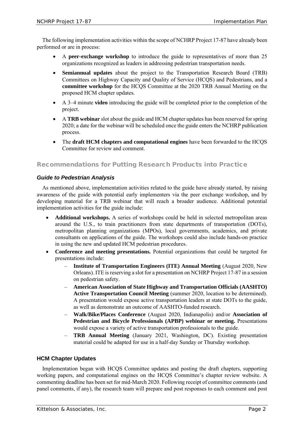The following implementation activities within the scope of NCHRP Project 17-87 have already been performed or are in process:

- A **peer-exchange workshop** to introduce the guide to representatives of more than 25 organizations recognized as leaders in addressing pedestrian transportation needs.
- **Semiannual updates** about the project to the Transportation Research Board (TRB) Committees on Highway Capacity and Quality of Service (HCQS) and Pedestrians, and a **committee workshop** for the HCQS Committee at the 2020 TRB Annual Meeting on the proposed HCM chapter updates.
- A 3–4 minute **video** introducing the guide will be completed prior to the completion of the project.
- A **TRB webinar** slot about the guide and HCM chapter updates has been reserved for spring 2020; a date for the webinar will be scheduled once the guide enters the NCHRP publication process.
- The **draft HCM chapters and computational engines** have been forwarded to the HCQS Committee for review and comment.

## Recommendations for Putting Research Products into Practice

#### *Guide to Pedestrian Analysis*

As mentioned above, implementation activities related to the guide have already started, by raising awareness of the guide with potential early implementers via the peer exchange workshop, and by developing material for a TRB webinar that will reach a broader audience. Additional potential implementation activities for the guide include:

- **Additional workshops.** A series of workshops could be held in selected metropolitan areas around the U.S., to train practitioners from state departments of transportation (DOTs), metropolitan planning organizations (MPOs), local governments, academics, and private consultants on applications of the guide. The workshops could also include hands-on practice in using the new and updated HCM pedestrian procedures.
- **Conference and meeting presentations.** Potential organizations that could be targeted for presentations include:
	- **Institute of Transportation Engineers (ITE) Annual Meeting** (August 2020, New Orleans). ITE is reserving a slot for a presentation on NCHRP Project 17-87 in a session on pedestrian safety.
	- **American Association of State Highway and Transportation Officials (AASHTO) Active Transportation Council Meeting** (summer 2020, location to be determined). A presentation would expose active transportation leaders at state DOTs to the guide, as well as demonstrate an outcome of AASHTO-funded research.
	- **Walk/Bike/Places Conference** (August 2020, Indianapolis) and/or **Association of Pedestrian and Bicycle Professionals (APBP) webinar or meeting.** Presentations would expose a variety of active transportation professionals to the guide.
	- **TRB Annual Meeting** (January 2021, Washington, DC). Existing presentation material could be adapted for use in a half-day Sunday or Thursday workshop.

#### **HCM Chapter Updates**

Implementation began with HCQS Committee updates and posting the draft chapters, supporting working papers, and computational engines on the HCQS Committee's chapter review website. A commenting deadline has been set for mid-March 2020. Following receipt of committee comments (and panel comments, if any), the research team will prepare and post responses to each comment and post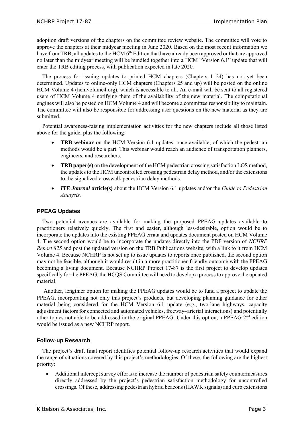adoption draft versions of the chapters on the committee review website. The committee will vote to approve the chapters at their midyear meeting in June 2020. Based on the most recent information we have from TRB, all updates to the HCM 6<sup>th</sup> Edition that have already been approved or that are approved no later than the midyear meeting will be bundled together into a HCM "Version 6.1" update that will enter the TRB editing process, with publication expected in late 2020.

The process for issuing updates to printed HCM chapters (Chapters 1–24) has not yet been determined. Updates to online-only HCM chapters (Chapters 25 and up) will be posted on the online HCM Volume 4 (hcmvolume4.org), which is accessible to all. An e-mail will be sent to all registered users of HCM Volume 4 notifying them of the availability of the new material. The computational engines will also be posted on HCM Volume 4 and will become a committee responsibility to maintain. The committee will also be responsible for addressing user questions on the new material as they are submitted.

Potential awareness-raising implementation activities for the new chapters include all those listed above for the guide, plus the following:

- **TRB webinar** on the HCM Version 6.1 updates, once available, of which the pedestrian methods would be a part. This webinar would reach an audience of transportation planners, engineers, and researchers.
- **TRB paper(s)** on the development of the HCM pedestrian crossing satisfaction LOS method, the updates to the HCM uncontrolled crossing pedestrian delay method, and/or the extensions to the signalized crosswalk pedestrian delay methods.
- *ITE Journal* **article(s)** about the HCM Version 6.1 updates and/or the *Guide to Pedestrian Analysis.*

#### **PPEAG Updates**

Two potential avenues are available for making the proposed PPEAG updates available to practitioners relatively quickly. The first and easier, although less-desirable, option would be to incorporate the updates into the existing PPEAG errata and updates document posted on HCM Volume 4. The second option would be to incorporate the updates directly into the PDF version of *NCHRP Report 825* and post the updated version on the TRB Publications website, with a link to it from HCM Volume 4. Because NCHRP is not set up to issue updates to reports once published, the second option may not be feasible, although it would result in a more practitioner-friendly outcome with the PPEAG becoming a living document. Because NCHRP Project 17-87 is the first project to develop updates specifically for the PPEAG, the HCQS Committee will need to develop a process to approve the updated material.

Another, lengthier option for making the PPEAG updates would be to fund a project to update the PPEAG, incorporating not only this project's products, but developing planning guidance for other material being considered for the HCM Version 6.1 update (e.g., two-lane highways, capacity adjustment factors for connected and automated vehicles, freeway–arterial interactions) and potentially other topics not able to be addressed in the original PPEAG. Under this option, a PPEAG  $2<sup>nd</sup>$  edition would be issued as a new NCHRP report.

#### **Follow-up Research**

The project's draft final report identifies potential follow-up research activities that would expand the range of situations covered by this project's methodologies. Of these, the following are the highest priority:

• Additional intercept survey efforts to increase the number of pedestrian safety countermeasures directly addressed by the project's pedestrian satisfaction methodology for uncontrolled crossings. Of these, addressing pedestrian hybrid beacons (HAWK signals) and curb extensions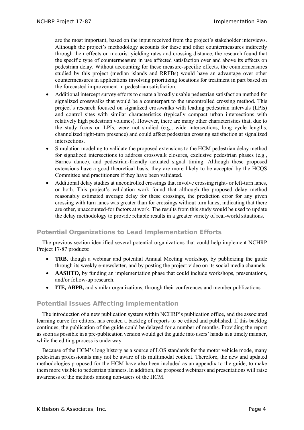are the most important, based on the input received from the project's stakeholder interviews. Although the project's methodology accounts for these and other countermeasures indirectly through their effects on motorist yielding rates and crossing distance, the research found that the specific type of countermeasure in use affected satisfaction over and above its effects on pedestrian delay. Without accounting for these measure-specific effects, the countermeasures studied by this project (median islands and RRFBs) would have an advantage over other countermeasures in applications involving prioritizing locations for treatment in part based on the forecasted improvement in pedestrian satisfaction.

- Additional intercept survey efforts to create a broadly usable pedestrian satisfaction method for signalized crosswalks that would be a counterpart to the uncontrolled crossing method. This project's research focused on signalized crosswalks with leading pedestrian intervals (LPIs) and control sites with similar characteristics (typically compact urban intersections with relatively high pedestrian volumes). However, there are many other characteristics that, due to the study focus on LPIs, were not studied (e.g., wide intersections, long cycle lengths, channelized right-turn presence) and could affect pedestrian crossing satisfaction at signalized intersections.
- Simulation modeling to validate the proposed extensions to the HCM pedestrian delay method for signalized intersections to address crosswalk closures, exclusive pedestrian phases (e.g., Barnes dance), and pedestrian-friendly actuated signal timing. Although these proposed extensions have a good theoretical basis, they are more likely to be accepted by the HCQS Committee and practitioners if they have been validated.
- Additional delay studies at uncontrolled crossings that involve crossing right- or left-turn lanes, or both. This project's validation work found that although the proposed delay method reasonably estimated average delay for these crossings, the prediction error for any given crossing with turn lanes was greater than for crossings without turn lanes, indicating that there are other, unaccounted-for factors at work. The results from this study would be used to update the delay methodology to provide reliable results in a greater variety of real-world situations.

## Potential Organizations to Lead Implementation Efforts

The previous section identified several potential organizations that could help implement NCHRP Project 17-87 products:

- **TRB,** though a webinar and potential Annual Meeting workshop, by publicizing the guide through its weekly e-newsletter, and by posting the project video on its social media channels.
- **AASHTO**, by funding an implementation phase that could include workshops, presentations, and/or follow-up research.
- **ITE, ABPB,** and similar organizations, through their conferences and member publications.

## Potential Issues Affecting Implementation

The introduction of a new publication system within NCHRP's publication office, and the associated learning curve for editors, has created a backlog of reports to be edited and published. If this backlog continues, the publication of the guide could be delayed for a number of months. Providing the report as soon as possible in a pre-publication version would get the guide into users' hands in a timely manner, while the editing process is underway.

Because of the HCM's long history as a source of LOS standards for the motor vehicle mode, many pedestrian professionals may not be aware of its multimodal content. Therefore, the new and updated methodologies proposed for the HCM have also been included as an appendix to the guide, to make them more visible to pedestrian planners. In addition, the proposed webinars and presentations will raise awareness of the methods among non-users of the HCM.